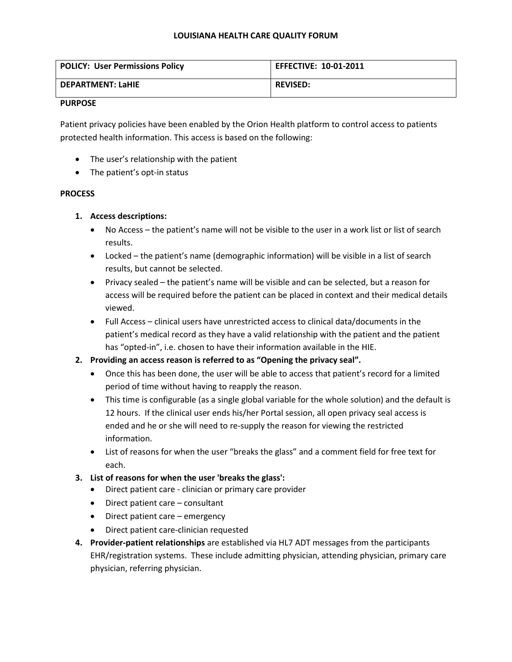### **LOUISIANA HEALTH CARE QUALITY FORUM**

| <b>POLICY: User Permissions Policy</b> | <b>EFFECTIVE: 10-01-2011</b> |
|----------------------------------------|------------------------------|
| <b>DEPARTMENT: LaHIE</b>               | <b>REVISED:</b>              |

### **PURPOSE**

Patient privacy policies have been enabled by the Orion Health platform to control access to patients protected health information. This access is based on the following:

- The user's relationship with the patient
- The patient's opt-in status

# **PROCESS**

- **1. Access descriptions:**
	- No Access the patient's name will not be visible to the user in a work list or list of search results.
	- Locked the patient's name (demographic information) will be visible in a list of search results, but cannot be selected.
	- Privacy sealed the patient's name will be visible and can be selected, but a reason for access will be required before the patient can be placed in context and their medical details viewed.
	- Full Access clinical users have unrestricted access to clinical data/documents in the patient's medical record as they have a valid relationship with the patient and the patient has "opted-in", i.e. chosen to have their information available in the HIE.
- **2. Providing an access reason is referred to as "Opening the privacy seal".**
	- Once this has been done, the user will be able to access that patient's record for a limited period of time without having to reapply the reason.
	- This time is configurable (as a single global variable for the whole solution) and the default is 12 hours. If the clinical user ends his/her Portal session, all open privacy seal access is ended and he or she will need to re-supply the reason for viewing the restricted information.
	- List of reasons for when the user "breaks the glass" and a comment field for free text for each.
- **3. List of reasons for when the user 'breaks the glass':**
	- Direct patient care clinician or primary care provider
	- Direct patient care consultant
	- Direct patient care emergency
	- Direct patient care-clinician requested
- **4. Provider-patient relationships** are established via HL7 ADT messages from the participants EHR/registration systems. These include admitting physician, attending physician, primary care physician, referring physician.